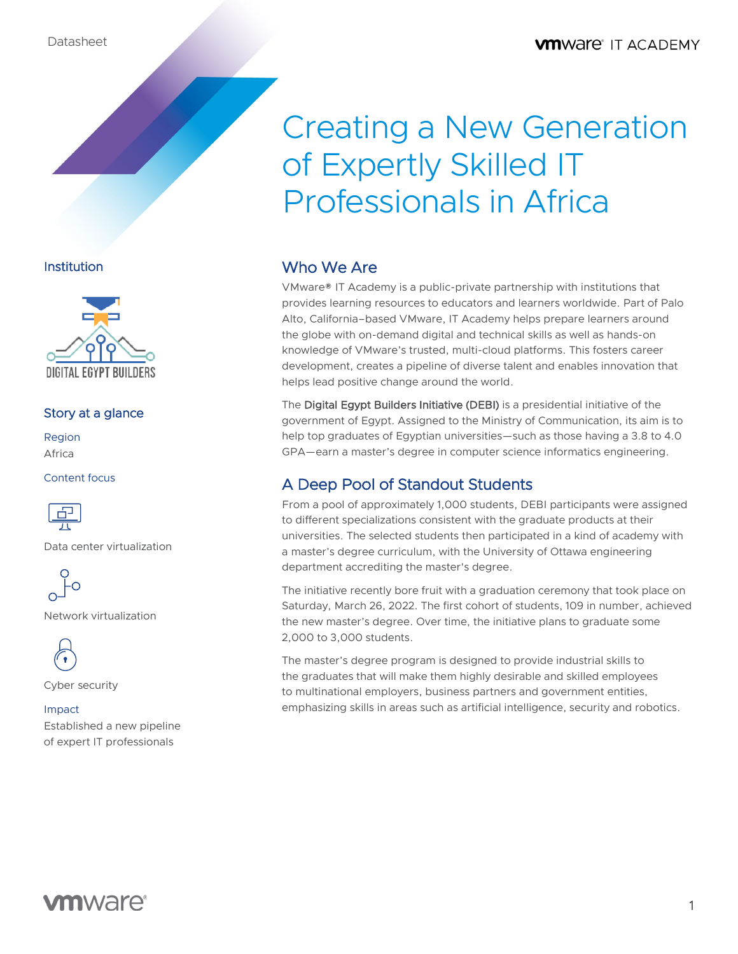# Creating a New Generation of Expertly Skilled IT Professionals in Africa

## Who We Are

VMware® IT Academy is a public-private partnership with institutions that provides learning resources to educators and learners worldwide. Part of Palo Alto, California–based VMware, IT Academy helps prepare learners around the globe with on-demand digital and technical skills as well as hands-on knowledge of VMware's trusted, multi-cloud platforms. This fosters career development, creates a pipeline of diverse talent and enables innovation that helps lead positive change around the world.

The Digital Egypt Builders Initiative (DEBI) is a presidential initiative of the government of Egypt. Assigned to the Ministry of Communication, its aim is to help top graduates of Egyptian universities—such as those having a 3.8 to 4.0 GPA—earn a master's degree in computer science informatics engineering.

# A Deep Pool of Standout Students

From a pool of approximately 1,000 students, DEBI participants were assigned to different specializations consistent with the graduate products at their universities. The selected students then participated in a kind of academy with a master's degree curriculum, with the University of Ottawa engineering department accrediting the master's degree.

The initiative recently bore fruit with a graduation ceremony that took place on Saturday, March 26, 2022. The first cohort of students, 109 in number, achieved the new master's degree. Over time, the initiative plans to graduate some 2,000 to 3,000 students.

The master's degree program is designed to provide industrial skills to the graduates that will make them highly desirable and skilled employees to multinational employers, business partners and government entities, emphasizing skills in areas such as artificial intelligence, security and robotics.

#### Institution



### Story at a glance

Region Africa

Content focus



Data center virtualization



Network virtualization



Cyber security

Impact Established a new pipeline of expert IT professionals

# **vm**ware<sup>®</sup>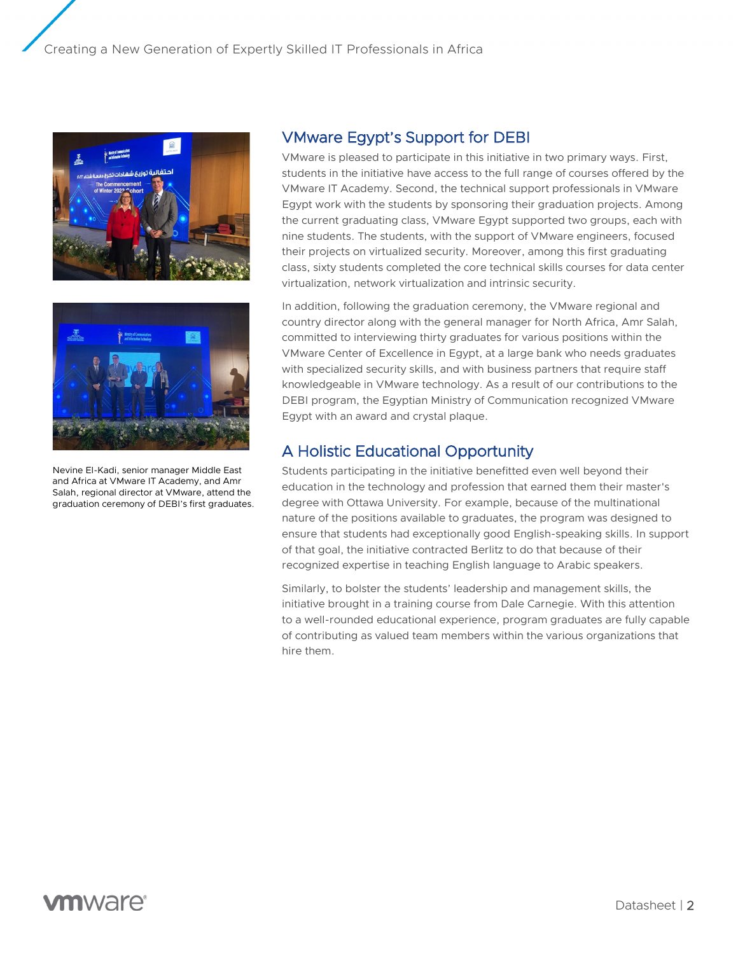



Nevine El-Kadi, senior manager Middle East and Africa at VMware IT Academy, and Amr Salah, regional director at VMware, attend the graduation ceremony of DEBI's first graduates.

## VMware Egypt's Support for DEBI

VMware is pleased to participate in this initiative in two primary ways. First, students in the initiative have access to the full range of courses offered by the VMware IT Academy. Second, the technical support professionals in VMware Egypt work with the students by sponsoring their graduation projects. Among the current graduating class, VMware Egypt supported two groups, each with nine students. The students, with the support of VMware engineers, focused their projects on virtualized security. Moreover, among this first graduating class, sixty students completed the core technical skills courses for data center virtualization, network virtualization and intrinsic security.

In addition, following the graduation ceremony, the VMware regional and country director along with the general manager for North Africa, Amr Salah, committed to interviewing thirty graduates for various positions within the VMware Center of Excellence in Egypt, at a large bank who needs graduates with specialized security skills, and with business partners that require staff knowledgeable in VMware technology. As a result of our contributions to the DEBI program, the Egyptian Ministry of Communication recognized VMware Egypt with an award and crystal plaque.

# A Holistic Educational Opportunity

Students participating in the initiative benefitted even well beyond their education in the technology and profession that earned them their master's degree with Ottawa University. For example, because of the multinational nature of the positions available to graduates, the program was designed to ensure that students had exceptionally good English-speaking skills. In support of that goal, the initiative contracted Berlitz to do that because of their recognized expertise in teaching English language to Arabic speakers.

Similarly, to bolster the students' leadership and management skills, the initiative brought in a training course from Dale Carnegie. With this attention to a well-rounded educational experience, program graduates are fully capable of contributing as valued team members within the various organizations that hire them.